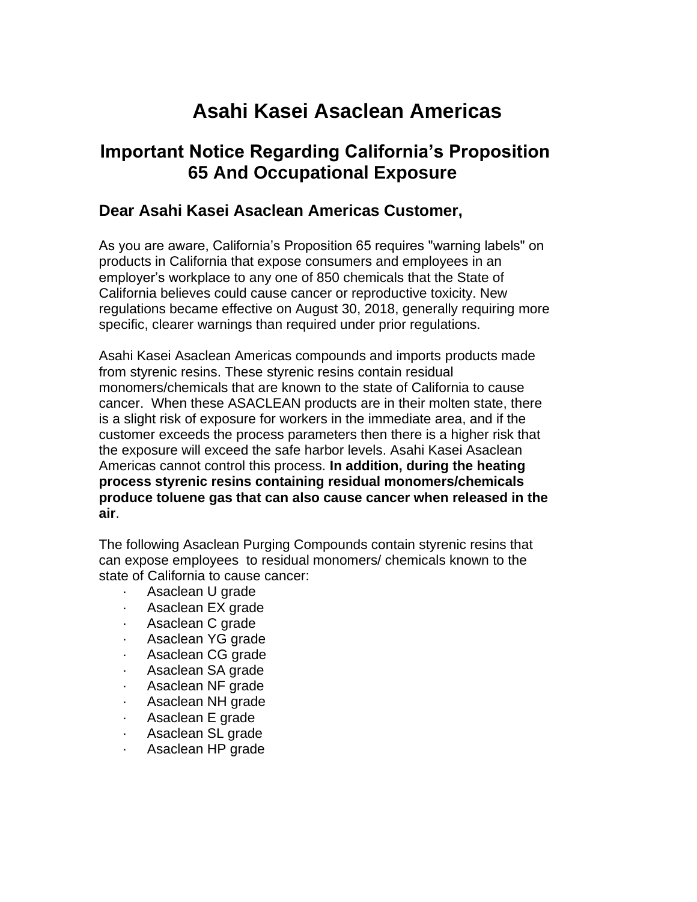## **Asahi Kasei Asaclean Americas**

## **Important Notice Regarding California's Proposition 65 And Occupational Exposure**

## **Dear Asahi Kasei Asaclean Americas Customer,**

As you are aware, California's Proposition 65 requires "warning labels" on products in California that expose consumers and employees in an employer's workplace to any one of 850 chemicals that the State of California believes could cause cancer or reproductive toxicity. New regulations became effective on August 30, 2018, generally requiring more specific, clearer warnings than required under prior regulations.

Asahi Kasei Asaclean Americas compounds and imports products made from styrenic resins. These styrenic resins contain residual monomers/chemicals that are known to the state of California to cause cancer. When these ASACLEAN products are in their molten state, there is a slight risk of exposure for workers in the immediate area, and if the customer exceeds the process parameters then there is a higher risk that the exposure will exceed the safe harbor levels. Asahi Kasei Asaclean Americas cannot control this process. **In addition, during the heating process styrenic resins containing residual monomers/chemicals produce toluene gas that can also cause cancer when released in the air**.

The following Asaclean Purging Compounds contain styrenic resins that can expose employees to residual monomers/ chemicals known to the state of California to cause cancer:

- Asaclean U grade
- · Asaclean EX grade
- Asaclean C grade
- · Asaclean YG grade
- Asaclean CG grade
- · Asaclean SA grade
- · Asaclean NF grade
- · Asaclean NH grade
- · Asaclean E grade
- Asaclean SL grade
- · Asaclean HP grade